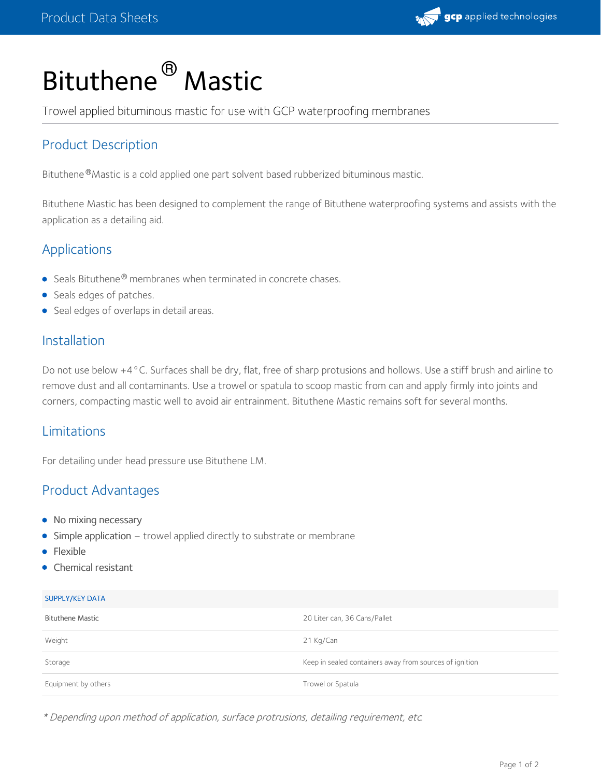

# Bituthene<sup>®</sup> Mastic

Trowel applied bituminous mastic for use with GCP waterproofing membranes

# Product Description

Bituthene®Mastic is a cold applied one part solvent based rubberized bituminous mastic.

Bituthene Mastic has been designed to complement the range of Bituthene waterproofing systems and assists with the application as a detailing aid.

## Applications

- Seals Bituthene<sup>®</sup> membranes when terminated in concrete chases.
- Seals edges of patches.
- **Seal edges of overlaps in detail areas.**

#### Installation

Do not use below +4°C. Surfaces shall be dry, flat, free of sharp protusions and hollows. Use a stiff brush and airline to remove dust and all contaminants. Use a trowel or spatula to scoop mastic from can and apply firmly into joints and corners, compacting mastic well to avoid air entrainment. Bituthene Mastic remains soft for several months.

## Limitations

For detailing under head pressure use Bituthene LM.

## Product Advantages

- No mixing necessary
- Simple application trowel applied directly to substrate or membrane
- Flexible
- Chemical resistant

#### SUPPLY/KEY DATA

| <b>Bituthene Mastic</b> | 20 Liter can, 36 Cans/Pallet                            |
|-------------------------|---------------------------------------------------------|
| Weight                  | 21 Kg/Can                                               |
| Storage                 | Keep in sealed containers away from sources of ignition |
| Equipment by others     | Trowel or Spatula                                       |

\* Depending upon method of application, surface protrusions, detailing requirement, etc.